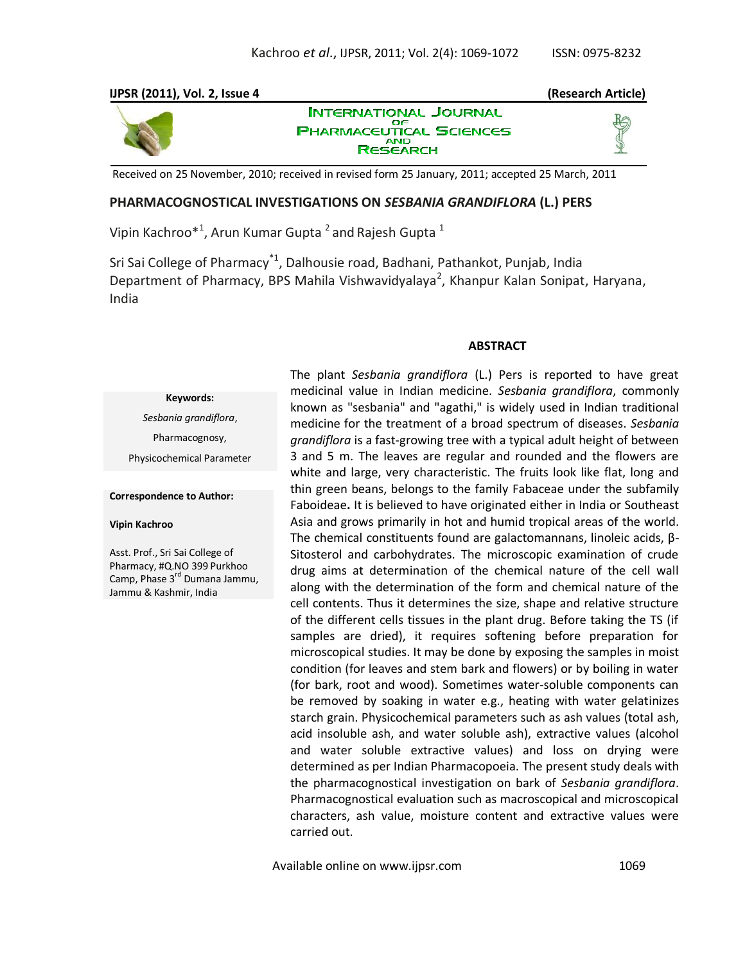# **IJPSR (2011), Vol. 2, Issue 4 (Research Article)**



**INTERNATIONAL JOURNAL** ОF **PHARMACEUTICAL SCIENCES RESEARCH** 



Received on 25 November, 2010; received in revised form 25 January, 2011; accepted 25 March, 2011

### **PHARMACOGNOSTICAL INVESTIGATIONS ON** *SESBANIA GRANDIFLORA* **(L.) PERS**

Vipin Kachroo $^{\ast1}$ , Arun Kumar Gupta  $^2$  and Rajesh Gupta  $^1$ 

Sri Sai College of Pharmacy<sup>\*1</sup>, Dalhousie road, Badhani, Pathankot, Punjab, India Department of Pharmacy, BPS Mahila Vishwavidyalaya<sup>2</sup>, Khanpur Kalan Sonipat, Haryana, India

#### **ABSTRACT**

**Keywords:** *Sesbania grandiflora*, Pharmacognosy, Physicochemical Parameter

**Correspondence to Author:**

#### **Vipin Kachroo**

Asst. Prof., Sri Sai College of Pharmacy, #Q.NO 399 Purkhoo Camp, Phase 3<sup>rd</sup> Dumana Jammu, Jammu & Kashmir, India

The plant *Sesbania grandiflora* (L.) Pers is reported to have great medicinal value in Indian medicine. *Sesbania grandiflora*, commonly known as "sesbania" and "agathi," is widely used in Indian traditional medicine for the treatment of a broad spectrum of diseases. *Sesbania grandiflora* is a fast-growing tree with a typical adult height of between 3 and 5 m. The leaves are regular and rounded and the flowers are white and large, very characteristic. The fruits look like flat, long and thin green beans, belongs to the family Fabaceae under the subfamily Faboideae**.** It is believed to have originated either in India or Southeast Asia and grows primarily in hot and humid tropical areas of the world. The chemical constituents found are galactomannans, linoleic acids, β-Sitosterol and carbohydrates. The microscopic examination of crude drug aims at determination of the chemical nature of the cell wall along with the determination of the form and chemical nature of the cell contents. Thus it determines the size, shape and relative structure of the different cells tissues in the plant drug. Before taking the TS (if samples are dried), it requires softening before preparation for microscopical studies. It may be done by exposing the samples in moist condition (for leaves and stem bark and flowers) or by boiling in water (for bark, root and wood). Sometimes water-soluble components can be removed by soaking in water e.g., heating with water gelatinizes starch grain. Physicochemical parameters such as ash values (total ash, acid insoluble ash, and water soluble ash), extractive values (alcohol and water soluble extractive values) and loss on drying were determined as per Indian Pharmacopoeia. The present study deals with the pharmacognostical investigation on bark of *Sesbania grandiflora*. Pharmacognostical evaluation such as macroscopical and microscopical characters, ash value, moisture content and extractive values were carried out.

Available online on www.ijpsr.com 1069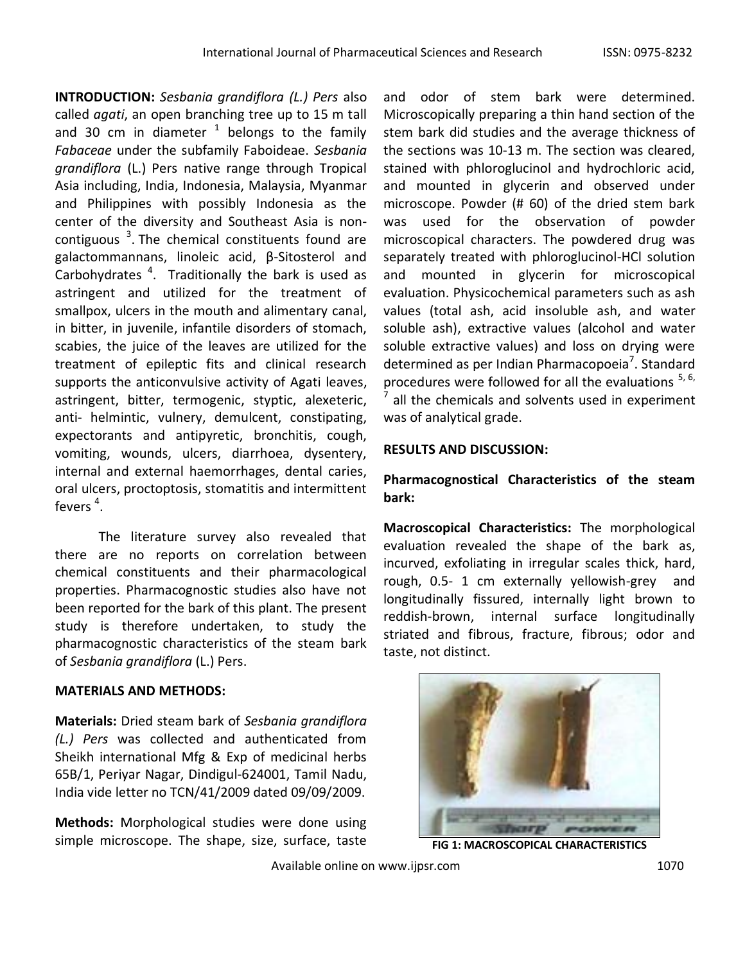**INTRODUCTION:** *Sesbania grandiflora (L.) Pers* also called *agati*, an open branching tree up to 15 m tall and 30 cm in diameter  $1$  belongs to the family *Fabaceae* under the subfamily Faboideae. *Sesbania grandiflora* (L.) Pers native range through Tropical Asia including, India, Indonesia, Malaysia, Myanmar and Philippines with possibly Indonesia as the center of the diversity and Southeast Asia is noncontiguous  $3$ . The chemical constituents found are galactommannans, linoleic acid, β-Sitosterol and Carbohydrates  $4$ . Traditionally the bark is used as astringent and utilized for the treatment of smallpox, ulcers in the mouth and alimentary canal, in bitter, in juvenile, infantile disorders of stomach, scabies, the juice of the leaves are utilized for the treatment of epileptic fits and clinical research supports the anticonvulsive activity of Agati leaves, astringent, bitter, termogenic, styptic, alexeteric, anti- helmintic, vulnery, demulcent, constipating, expectorants and antipyretic, bronchitis, cough, vomiting, wounds, ulcers, diarrhoea, dysentery, internal and external haemorrhages, dental caries, oral ulcers, proctoptosis, stomatitis and intermittent fevers  $4$ .

The literature survey also revealed that there are no reports on correlation between chemical constituents and their pharmacological properties. Pharmacognostic studies also have not been reported for the bark of this plant. The present study is therefore undertaken, to study the pharmacognostic characteristics of the steam bark of *Sesbania grandiflora* (L.) Pers.

# **MATERIALS AND METHODS:**

**Materials:** Dried steam bark of *Sesbania grandiflora (L.) Pers* was collected and authenticated from Sheikh international Mfg & Exp of medicinal herbs 65B/1, Periyar Nagar, Dindigul-624001, Tamil Nadu, India vide letter no TCN/41/2009 dated 09/09/2009.

**Methods:** Morphological studies were done using simple microscope. The shape, size, surface, taste

and odor of stem bark were determined. Microscopically preparing a thin hand section of the stem bark did studies and the average thickness of the sections was 10-13 m. The section was cleared, stained with phloroglucinol and hydrochloric acid, and mounted in glycerin and observed under microscope. Powder (# 60) of the dried stem bark was used for the observation of powder microscopical characters. The powdered drug was separately treated with phloroglucinol-HCl solution and mounted in glycerin for microscopical evaluation. Physicochemical parameters such as ash values (total ash, acid insoluble ash, and water soluble ash), extractive values (alcohol and water soluble extractive values) and loss on drying were determined as per Indian Pharmacopoeia<sup>7</sup>. Standard procedures were followed for all the evaluations <sup>5, 6,</sup> 7 all the chemicals and solvents used in experiment was of analytical grade.

## **RESULTS AND DISCUSSION:**

# **Pharmacognostical Characteristics of the steam bark:**

**Macroscopical Characteristics:** The morphological evaluation revealed the shape of the bark as, incurved, exfoliating in irregular scales thick, hard, rough, 0.5- 1 cm externally yellowish-grey and longitudinally fissured, internally light brown to reddish-brown, internal surface longitudinally striated and fibrous, fracture, fibrous; odor and taste, not distinct.



**FIG 1: MACROSCOPICAL CHARACTERISTICS**

Available online on www.ijpsr.com 1070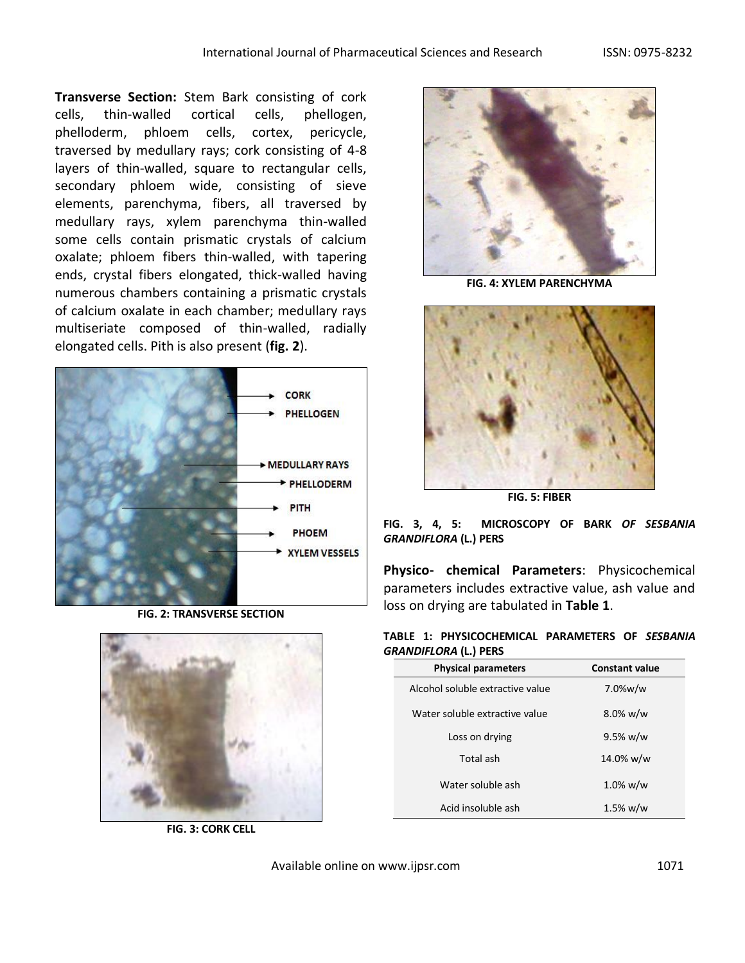**Transverse Section:** Stem Bark consisting of cork cells, thin-walled cortical cells, phellogen, phelloderm, phloem cells, cortex, pericycle, traversed by medullary rays; cork consisting of 4-8 layers of thin-walled, square to rectangular cells, secondary phloem wide, consisting of sieve elements, parenchyma, fibers, all traversed by medullary rays, xylem parenchyma thin-walled some cells contain prismatic crystals of calcium oxalate; phloem fibers thin-walled, with tapering ends, crystal fibers elongated, thick-walled having numerous chambers containing a prismatic crystals of calcium oxalate in each chamber; medullary rays multiseriate composed of thin-walled, radially elongated cells. Pith is also present (**fig. 2**).



**FIG. 2: TRANSVERSE SECTION**



**FIG. 3: CORK CELL**



**FIG. 4: XYLEM PARENCHYMA**



**FIG. 5: FIBER**

**FIG. 3, 4, 5: MICROSCOPY OF BARK** *OF SESBANIA GRANDIFLORA* **(L.) PERS**

**Physico- chemical Parameters**: Physicochemical parameters includes extractive value, ash value and loss on drying are tabulated in **Table 1**.

|  | TABLE 1: PHYSICOCHEMICAL PARAMETERS OF SESBANIA |  |  |
|--|-------------------------------------------------|--|--|
|  | <b>GRANDIFLORA (L.) PERS</b>                    |  |  |

| <b>Physical parameters</b>       | <b>Constant value</b> |  |  |
|----------------------------------|-----------------------|--|--|
| Alcohol soluble extractive value | $7.0\%$ w/w           |  |  |
| Water soluble extractive value   | $8.0\%$ w/w           |  |  |
| Loss on drying                   | 9.5% w/w              |  |  |
| Total ash                        | 14.0% w/w             |  |  |
| Water soluble ash                | $1.0\%$ w/w           |  |  |
| Acid insoluble ash               | 1.5% w/w              |  |  |